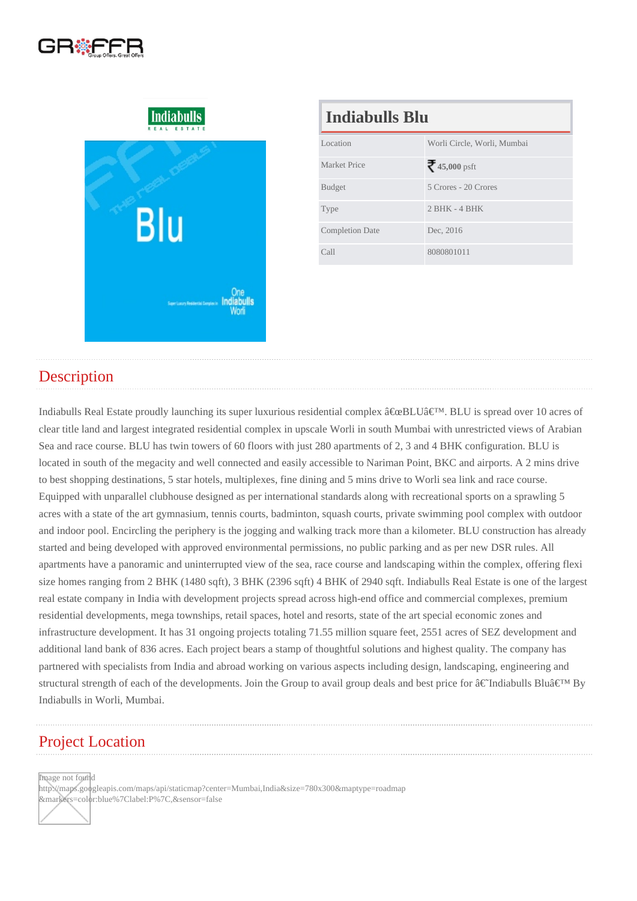| <b>Indiabulls Blu</b>  |                             |  |
|------------------------|-----------------------------|--|
| Location               | Worli Circle, Worli, Mumbai |  |
| Market Price           | 45,000psft                  |  |
| <b>Budget</b>          | 5 Crores - 20 Crores        |  |
| <b>Type</b>            | $2$ BHK - 4 BHK             |  |
| <b>Completion Date</b> | Dec. 2016                   |  |
| Call                   | 8080801011                  |  |

## **Description**

Indiabulls Real Estate proudly launching its super luxurious residential complex "BLU'. BLU is spread over 10 acres of clear title land and largest integrated residential complex in upscale Worli in south Mumbai with unrestricted views of Arabian Sea and race course. BLU has twin towers of 60 floors with just 280 apartments of 2, 3 and 4 BHK configuration. BLU is located in south of the megacity and well connected and easily accessible to Nariman Point, BKC and airports. A 2 mins drive to best shopping destinations, 5 star hotels, multiplexes, fine dining and 5 mins drive to Worli sea link and race course. Equipped with unparallel clubhouse designed as per international standards along with recreational sports on a sprawling 5 acres with a state of the art gymnasium, tennis courts, badminton, squash courts, private swimming pool complex with outdoor and indoor pool. Encircling the periphery is the jogging and walking track more than a kilometer. BLU construction has already started and being developed with approved environmental permissions, no public parking and as per new DSR rules. All apartments have a panoramic and uninterrupted view of the sea, race course and landscaping within the complex, offering flexi size homes ranging from 2 BHK (1480 sqft), 3 BHK (2396 sqft) 4 BHK of 2940 sqft. Indiabulls Real Estate is one of the largest real estate company in India with development projects spread across high-end office and commercial complexes, premium residential developments, mega townships, retail spaces, hotel and resorts, state of the art special economic zones and infrastructure development. It has 31 ongoing projects totaling 71.55 million square feet, 2551 acres of SEZ development and additional land bank of 836 acres. Each project bears a stamp of thoughtful solutions and highest quality. The company has partnered with specialists from India and abroad working on various aspects including design, landscaping, engineering and structural strength of each of the developments. Join the Group to avail group deals and best price for †Indiabulls Blu' By Indiabulls in Worli, Mumbai.

## Project Location

Image not found

http://maps.googleapis.com/maps/api/staticmap?center=Mumbai,India&size=780x300&maptype=roadmap &markers=color:blue%7Clabel:P%7C,&sensor=false